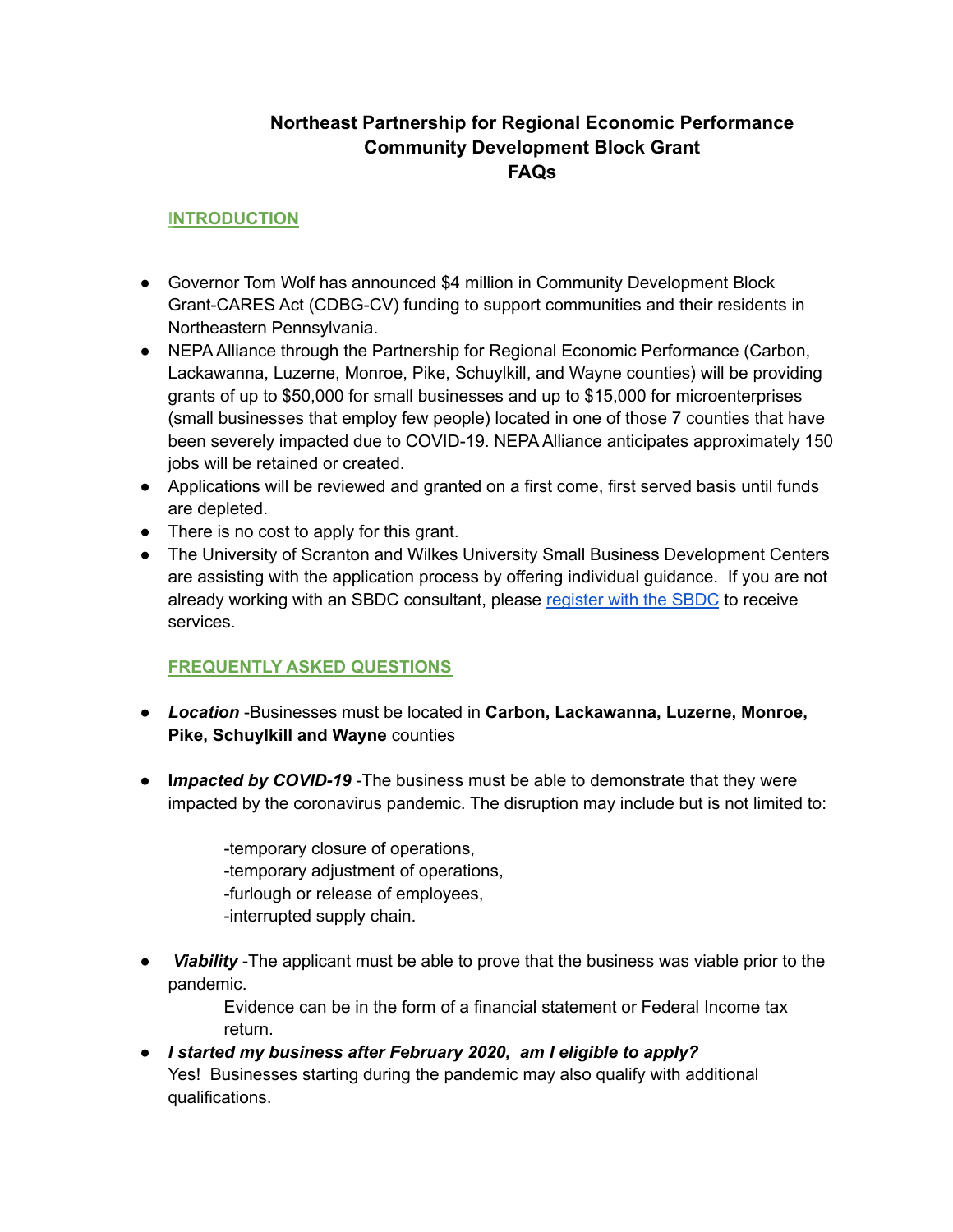# **Northeast Partnership for Regional Economic Performance Community Development Block Grant FAQs**

## **INTRODUCTION**

- Governor Tom Wolf has announced \$4 million in Community Development Block Grant-CARES Act (CDBG-CV) funding to support communities and their residents in Northeastern Pennsylvania.
- NEPA Alliance through the Partnership for Regional Economic Performance (Carbon, Lackawanna, Luzerne, Monroe, Pike, Schuylkill, and Wayne counties) will be providing grants of up to \$50,000 for small businesses and up to \$15,000 for microenterprises (small businesses that employ few people) located in one of those 7 counties that have been severely impacted due to COVID-19. NEPA Alliance anticipates approximately 150 jobs will be retained or created.
- Applications will be reviewed and granted on a first come, first served basis until funds are depleted.
- There is no cost to apply for this grant.
- The University of Scranton and Wilkes University Small Business Development Centers are assisting with the application process by offering individual guidance. If you are not already working with an SBDC consultant, please [register](https://pasbdc.ecenterdirect.com/signup) with the SBDC to receive services.

## **FREQUENTLY ASKED QUESTIONS**

- *Location* -Businesses must be located in **Carbon, Lackawanna, Luzerne, Monroe, Pike, Schuylkill and Wayne** counties
- **I***mpacted by COVID-19* -The business must be able to demonstrate that they were impacted by the coronavirus pandemic. The disruption may include but is not limited to:

-temporary closure of operations, -temporary adjustment of operations, -furlough or release of employees, -interrupted supply chain.

**Viability** -The applicant must be able to prove that the business was viable prior to the pandemic.

> Evidence can be in the form of a financial statement or Federal Income tax return.

● *I started my business after February 2020, am I eligible to apply?* Yes! Businesses starting during the pandemic may also qualify with additional qualifications.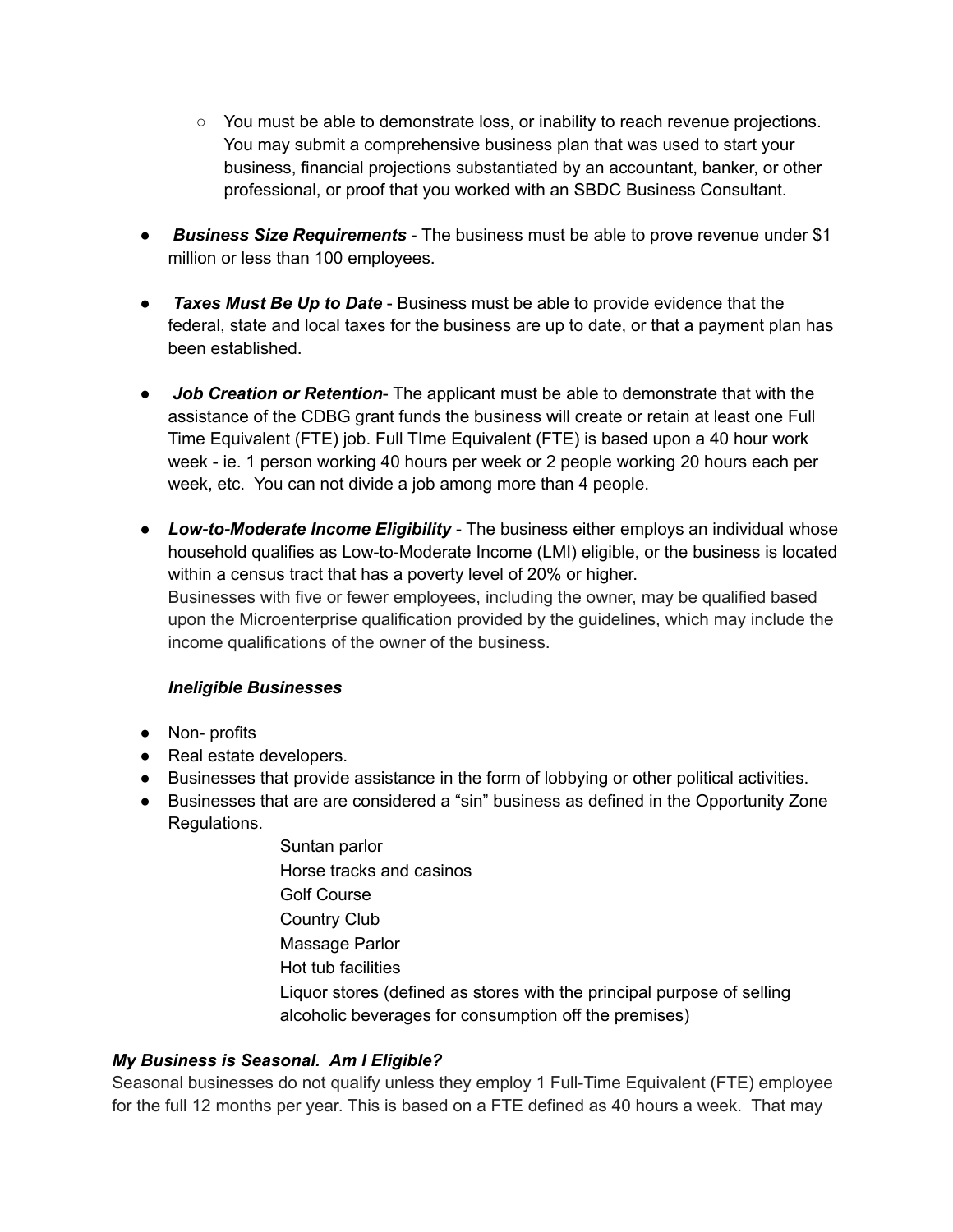- You must be able to demonstrate loss, or inability to reach revenue projections. You may submit a comprehensive business plan that was used to start your business, financial projections substantiated by an accountant, banker, or other professional, or proof that you worked with an SBDC Business Consultant.
- *Business Size Requirements* The business must be able to prove revenue under \$1 million or less than 100 employees.
- *Taxes Must Be Up to Date* Business must be able to provide evidence that the federal, state and local taxes for the business are up to date, or that a payment plan has been established.
- *Job Creation or Retention* The applicant must be able to demonstrate that with the assistance of the CDBG grant funds the business will create or retain at least one Full Time Equivalent (FTE) job. Full TIme Equivalent (FTE) is based upon a 40 hour work week - ie. 1 person working 40 hours per week or 2 people working 20 hours each per week, etc. You can not divide a job among more than 4 people.
- *Low-to-Moderate Income Eligibility* The business either employs an individual whose household qualifies as Low-to-Moderate Income (LMI) eligible, or the business is located within a census tract that has a poverty level of 20% or higher. Businesses with five or fewer employees, including the owner, may be qualified based upon the Microenterprise qualification provided by the guidelines, which may include the income qualifications of the owner of the business.

## *Ineligible Businesses*

- Non- profits
- Real estate developers.
- Businesses that provide assistance in the form of lobbying or other political activities.
- Businesses that are are considered a "sin" business as defined in the Opportunity Zone Regulations.
	- Suntan parlor Horse tracks and casinos Golf Course Country Club Massage Parlor Hot tub facilities Liquor stores (defined as stores with the principal purpose of selling alcoholic beverages for consumption off the premises)

## *My Business is Seasonal. Am I Eligible?*

Seasonal businesses do not qualify unless they employ 1 Full-Time Equivalent (FTE) employee for the full 12 months per year. This is based on a FTE defined as 40 hours a week. That may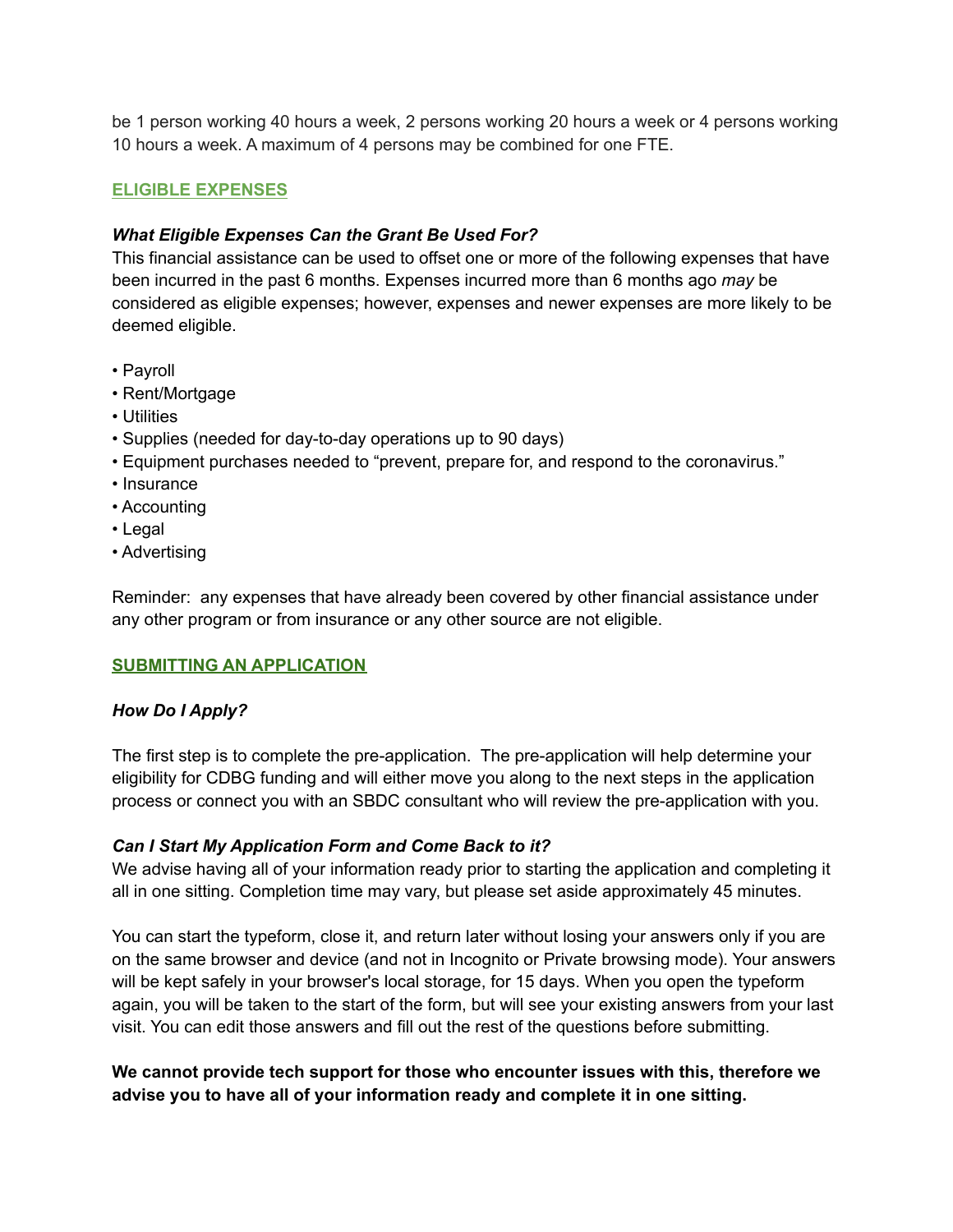be 1 person working 40 hours a week, 2 persons working 20 hours a week or 4 persons working 10 hours a week. A maximum of 4 persons may be combined for one FTE.

### **ELIGIBLE EXPENSES**

#### *What Eligible Expenses Can the Grant Be Used For?*

This financial assistance can be used to offset one or more of the following expenses that have been incurred in the past 6 months. Expenses incurred more than 6 months ago *may* be considered as eligible expenses; however, expenses and newer expenses are more likely to be deemed eligible.

- Payroll
- Rent/Mortgage
- Utilities
- Supplies (needed for day-to-day operations up to 90 days)
- Equipment purchases needed to "prevent, prepare for, and respond to the coronavirus."
- Insurance
- Accounting
- Legal
- Advertising

Reminder: any expenses that have already been covered by other financial assistance under any other program or from insurance or any other source are not eligible.

#### **SUBMITTING AN APPLICATION**

## *How Do I Apply?*

The first step is to complete the pre-application. The pre-application will help determine your eligibility for CDBG funding and will either move you along to the next steps in the application process or connect you with an SBDC consultant who will review the pre-application with you.

#### *Can I Start My Application Form and Come Back to it?*

We advise having all of your information ready prior to starting the application and completing it all in one sitting. Completion time may vary, but please set aside approximately 45 minutes.

You can start the typeform, close it, and return later without losing your answers only if you are on the same browser and device (and not in Incognito or Private browsing mode). Your answers will be kept safely in your browser's local storage, for 15 days. When you open the typeform again, you will be taken to the start of the form, but will see your existing answers from your last visit. You can edit those answers and fill out the rest of the questions before submitting.

## **We cannot provide tech support for those who encounter issues with this, therefore we advise you to have all of your information ready and complete it in one sitting.**